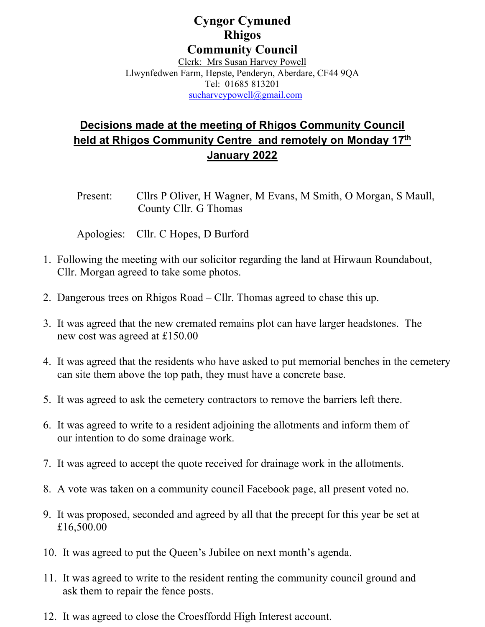## **Cyngor Cymuned Rhigos Community Council**

Clerk: Mrs Susan Harvey Powell Llwynfedwen Farm, Hepste, Penderyn, Aberdare, CF44 9QA Tel: 01685 813201 [sueharveypowell@gmail.com](mailto:sueharveypowell@gmail.com)

## **Decisions made at the meeting of Rhigos Community Council held at Rhigos Community Centre and remotely on Monday 17th January 2022**

Present: Cllrs P Oliver, H Wagner, M Evans, M Smith, O Morgan, S Maull, County Cllr. G Thomas

Apologies: Cllr. C Hopes, D Burford

- 1. Following the meeting with our solicitor regarding the land at Hirwaun Roundabout, Cllr. Morgan agreed to take some photos.
- 2. Dangerous trees on Rhigos Road Cllr. Thomas agreed to chase this up.
- 3. It was agreed that the new cremated remains plot can have larger headstones. The new cost was agreed at £150.00
- 4. It was agreed that the residents who have asked to put memorial benches in the cemetery can site them above the top path, they must have a concrete base.
- 5. It was agreed to ask the cemetery contractors to remove the barriers left there.
- 6. It was agreed to write to a resident adjoining the allotments and inform them of our intention to do some drainage work.
- 7. It was agreed to accept the quote received for drainage work in the allotments.
- 8. A vote was taken on a community council Facebook page, all present voted no.
- 9. It was proposed, seconded and agreed by all that the precept for this year be set at £16,500.00
- 10. It was agreed to put the Queen's Jubilee on next month's agenda.
- 11. It was agreed to write to the resident renting the community council ground and ask them to repair the fence posts.
- 12. It was agreed to close the Croesffordd High Interest account.